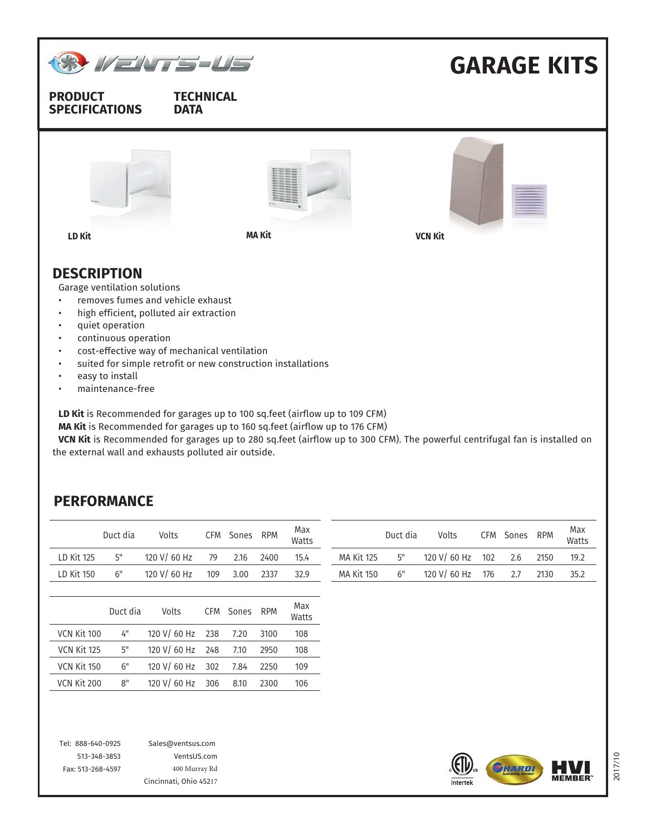

• maintenance-free

**LD Kit** is Recommended for garages up to 100 sq.feet (airflow up to 109 CFM)

**MA Kit** is Recommended for garages up to 160 sq.feet (airflow up to 176 CFM)

**VCN Kit** is Recommended for garages up to 280 sq.feet (airflow up to 300 CFM). The powerful centrifugal fan is installed on the external wall and exhausts polluted air outside.

## **PERFORMANCE**

|             | Duct dia | Volts        | CFM | Sones | <b>RPM</b> | Max<br>Watts |                   | Duct dia | Volts        | CFM | Sones | <b>RPM</b> | Max<br>Watts |
|-------------|----------|--------------|-----|-------|------------|--------------|-------------------|----------|--------------|-----|-------|------------|--------------|
| LD Kit 125  | 5"       | 120 V/ 60 Hz | 79  | 2.16  | 2400       | 15.4         | <b>MA Kit 125</b> | 5"       | 120 V/ 60 Hz | 102 | 2.6   | 2150       | 19.2         |
| LD Kit 150  | 6"       | 120 V/ 60 Hz | 109 | 3.00  | 2337       | 32.9         | <b>MA Kit 150</b> | 6"       | 120 V/ 60 Hz | 176 | 2.7   | 2130       | 35.2         |
|             |          |              |     |       |            |              |                   |          |              |     |       |            |              |
|             | Duct dia | Volts        | CFM | Sones | <b>RPM</b> | Max<br>Watts |                   |          |              |     |       |            |              |
| VCN Kit 100 | 4"       | 120 V/ 60 Hz | 238 | 7.20  | 3100       | 108          |                   |          |              |     |       |            |              |
| VCN Kit 125 | 5"       | 120 V/ 60 Hz | 248 | 7.10  | 2950       | 108          |                   |          |              |     |       |            |              |
| VCN Kit 150 | 6"       | 120 V/ 60 Hz | 302 | 7.84  | 2250       | 109          |                   |          |              |     |       |            |              |
| VCN Kit 200 | 8"       | 120 V/ 60 Hz | 306 | 8.10  | 2300       | 106          |                   |          |              |     |       |            |              |
|             |          |              |     |       |            |              |                   |          |              |     |       |            |              |
|             |          |              |     |       |            |              |                   |          |              |     |       |            |              |

Tel: 888-640-0925 513-348-3853 Fax: 513-268-4597 Sales@ventsus.com VentsUS.com 400 Murray Rd Cincinnati, Ohio 45217